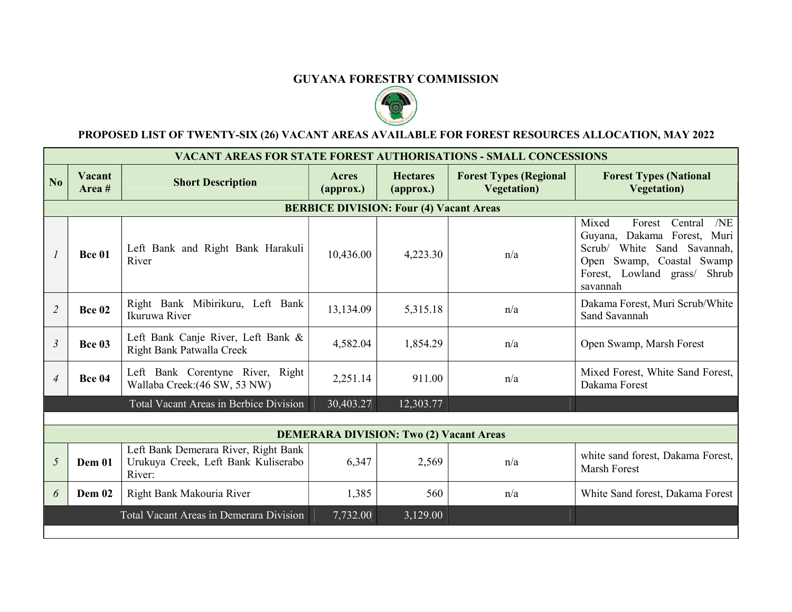## GUYANA FORESTRY COMMISSION



## PROPOSED LIST OF TWENTY-SIX (26) VACANT AREAS AVAILABLE FOR FOREST RESOURCES ALLOCATION, MAY 2022

|                                                | <b>VACANT AREAS FOR STATE FOREST AUTHORISATIONS - SMALL CONCESSIONS</b> |                                                                                       |                            |                                               |                                                      |                                                                                                                                                                                     |  |  |
|------------------------------------------------|-------------------------------------------------------------------------|---------------------------------------------------------------------------------------|----------------------------|-----------------------------------------------|------------------------------------------------------|-------------------------------------------------------------------------------------------------------------------------------------------------------------------------------------|--|--|
| $\overline{\bf N_0}$                           | Vacant<br>Area $#$                                                      | <b>Short Description</b>                                                              | Acres<br>${\bf (approx.)}$ | <b>Hectares</b><br>$\left($ approx. $\right)$ | <b>Forest Types (Regional</b><br><b>Vegetation</b> ) | <b>Forest Types (National</b><br><b>Vegetation</b> )                                                                                                                                |  |  |
| <b>BERBICE DIVISION: Four (4) Vacant Areas</b> |                                                                         |                                                                                       |                            |                                               |                                                      |                                                                                                                                                                                     |  |  |
|                                                | <b>Bce 01</b>                                                           | Left Bank and Right Bank Harakuli<br>River                                            | 10,436.00                  | 4,223.30                                      | n/a                                                  | Forest<br>Mixed<br>Central<br>N <sub>E</sub><br>Guyana, Dakama Forest, Muri<br>Scrub/ White Sand Savannah,<br>Open Swamp, Coastal Swamp<br>Forest, Lowland grass/ Shrub<br>savannah |  |  |
| $\overline{2}$                                 | <b>Bce 02</b>                                                           | Right Bank Mibirikuru, Left Bank<br>Ikuruwa River                                     | 13,134.09                  | 5,315.18                                      | n/a                                                  | Dakama Forest, Muri Scrub/White<br>Sand Savannah                                                                                                                                    |  |  |
| $\mathfrak{Z}$                                 | <b>Bce 03</b>                                                           | Left Bank Canje River, Left Bank &<br>Right Bank Patwalla Creek                       | 4,582.04                   | 1,854.29                                      | n/a                                                  | Open Swamp, Marsh Forest                                                                                                                                                            |  |  |
| $\overline{4}$                                 | <b>Bce 04</b>                                                           | Left Bank Corentyne River, Right<br>Wallaba Creek: (46 SW, 53 NW)                     | 2,251.14                   | 911.00                                        | n/a                                                  | Mixed Forest, White Sand Forest,<br>Dakama Forest                                                                                                                                   |  |  |
|                                                |                                                                         | Total Vacant Areas in Berbice Division                                                | 30,403.27                  | 12,303.77                                     |                                                      |                                                                                                                                                                                     |  |  |
|                                                |                                                                         |                                                                                       |                            |                                               |                                                      |                                                                                                                                                                                     |  |  |
|                                                | <b>DEMERARA DIVISION: Two (2) Vacant Areas</b>                          |                                                                                       |                            |                                               |                                                      |                                                                                                                                                                                     |  |  |
| 5                                              | <b>Dem 01</b>                                                           | Left Bank Demerara River, Right Bank<br>Urukuya Creek, Left Bank Kuliserabo<br>River: | 6,347                      | 2,569                                         | n/a                                                  | white sand forest, Dakama Forest,<br>Marsh Forest                                                                                                                                   |  |  |
| 6                                              | Dem 02                                                                  | Right Bank Makouria River                                                             | 1,385                      | 560                                           | n/a                                                  | White Sand forest, Dakama Forest                                                                                                                                                    |  |  |
|                                                |                                                                         | Total Vacant Areas in Demerara Division                                               | 7,732.00                   | 3,129.00                                      |                                                      |                                                                                                                                                                                     |  |  |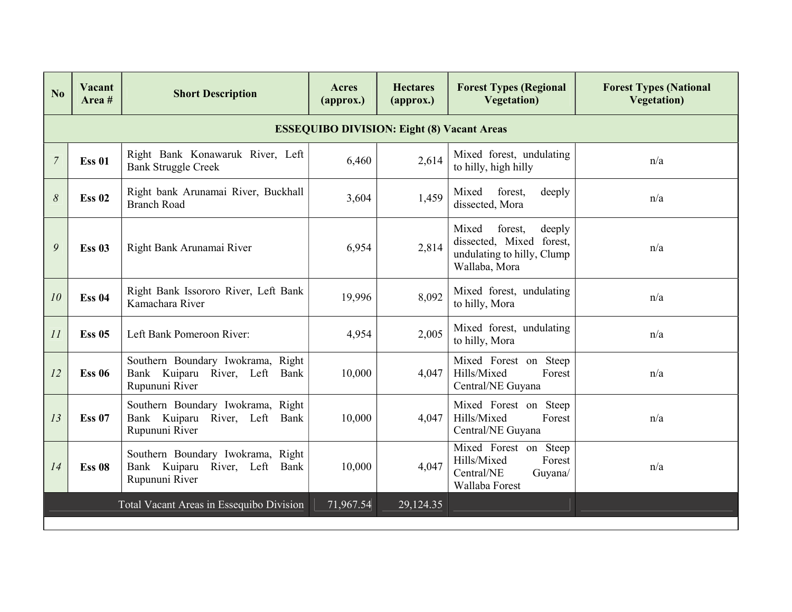| No                                                | Vacant<br>Area $#$ | <b>Short Description</b>                                                                | <b>Acres</b><br>$\left($ approx. $\right)$ | <b>Hectares</b><br>$\left($ approx. $\right)$ | <b>Forest Types (Regional</b><br><b>Vegetation</b> )                                                  | <b>Forest Types (National</b><br><b>Vegetation</b> ) |  |  |
|---------------------------------------------------|--------------------|-----------------------------------------------------------------------------------------|--------------------------------------------|-----------------------------------------------|-------------------------------------------------------------------------------------------------------|------------------------------------------------------|--|--|
| <b>ESSEQUIBO DIVISION: Eight (8) Vacant Areas</b> |                    |                                                                                         |                                            |                                               |                                                                                                       |                                                      |  |  |
| $\overline{7}$                                    | <b>Ess 01</b>      | Right Bank Konawaruk River, Left<br><b>Bank Struggle Creek</b>                          |                                            | 2,614                                         | Mixed forest, undulating<br>to hilly, high hilly                                                      | n/a                                                  |  |  |
| 8                                                 | <b>Ess 02</b>      | Right bank Arunamai River, Buckhall<br><b>Branch Road</b>                               | 3,604                                      | 1,459                                         | forest,<br>Mixed<br>deeply<br>dissected, Mora                                                         | n/a                                                  |  |  |
| 9                                                 | <b>Ess 03</b>      | Right Bank Arunamai River                                                               | 6,954                                      | 2,814                                         | Mixed<br>forest,<br>deeply<br>dissected, Mixed forest,<br>undulating to hilly, Clump<br>Wallaba, Mora | n/a                                                  |  |  |
| 10                                                | <b>Ess 04</b>      | Right Bank Issororo River, Left Bank<br>Kamachara River                                 | 19,996                                     | 8,092                                         | Mixed forest, undulating<br>to hilly, Mora                                                            | n/a                                                  |  |  |
| 11                                                | <b>Ess 05</b>      | Left Bank Pomeroon River:                                                               | 4,954                                      | 2,005                                         | Mixed forest, undulating<br>to hilly, Mora                                                            | n/a                                                  |  |  |
| 12                                                | <b>Ess 06</b>      | Southern Boundary Iwokrama, Right<br>Bank Kuiparu River, Left<br>Bank<br>Rupununi River | 10,000                                     | 4,047                                         | Mixed Forest on Steep<br>Hills/Mixed<br>Forest<br>Central/NE Guyana                                   | n/a                                                  |  |  |
| 13                                                | <b>Ess 07</b>      | Southern Boundary Iwokrama, Right<br>Bank Kuiparu River, Left<br>Bank<br>Rupununi River | 10,000                                     | 4,047                                         | Mixed Forest on Steep<br>Hills/Mixed<br>Forest<br>Central/NE Guyana                                   | n/a                                                  |  |  |
| 14                                                | <b>Ess 08</b>      | Southern Boundary Iwokrama, Right<br>Bank Kuiparu River, Left Bank<br>Rupununi River    | 10,000                                     | 4,047                                         | Mixed Forest on Steep<br>Hills/Mixed<br>Forest<br>Central/NE<br>Guyana/<br>Wallaba Forest             | n/a                                                  |  |  |
|                                                   |                    | Total Vacant Areas in Essequibo Division                                                | 71,967.54                                  | 29,124.35                                     |                                                                                                       |                                                      |  |  |
|                                                   |                    |                                                                                         |                                            |                                               |                                                                                                       |                                                      |  |  |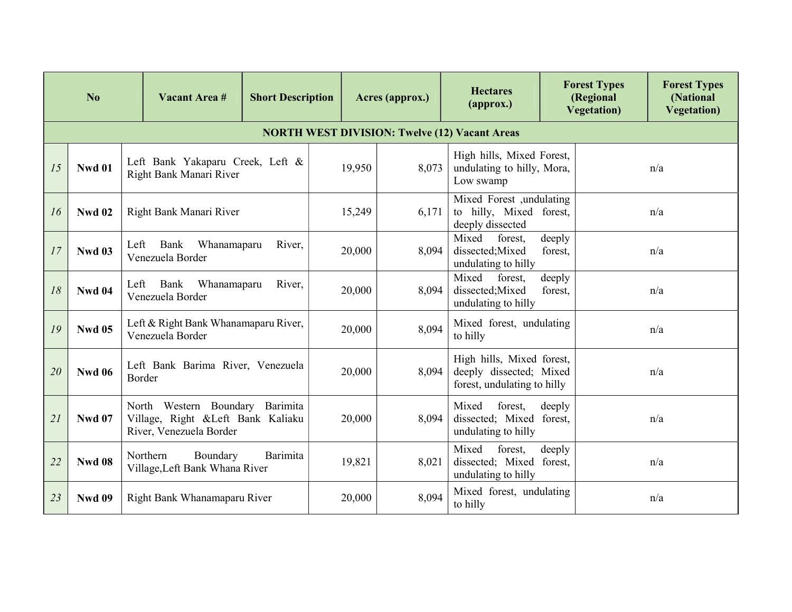| No |                                                      | Vacant Area #                                                                                   | <b>Short Description</b> | Acres (approx.) |                                                             | <b>Hectares</b><br>${\bf (approx.)}$                                                | <b>Forest Types</b><br>(Regional<br><b>Vegetation</b> ) | <b>Forest Types</b><br>(National<br><b>Vegetation</b> ) |  |  |  |
|----|------------------------------------------------------|-------------------------------------------------------------------------------------------------|--------------------------|-----------------|-------------------------------------------------------------|-------------------------------------------------------------------------------------|---------------------------------------------------------|---------------------------------------------------------|--|--|--|
|    | <b>NORTH WEST DIVISION: Twelve (12) Vacant Areas</b> |                                                                                                 |                          |                 |                                                             |                                                                                     |                                                         |                                                         |  |  |  |
| 15 | <b>Nwd 01</b>                                        | Left Bank Yakaparu Creek, Left &<br>Right Bank Manari River                                     |                          | 19,950          | 8,073                                                       | High hills, Mixed Forest,<br>undulating to hilly, Mora,<br>Low swamp                |                                                         | n/a                                                     |  |  |  |
| 16 | <b>Nwd 02</b>                                        | Right Bank Manari River                                                                         |                          | 15,249          | 6,171                                                       | Mixed Forest ,undulating<br>to hilly, Mixed forest,<br>deeply dissected             |                                                         | n/a                                                     |  |  |  |
| 17 | <b>Nwd 03</b>                                        | Left Bank<br>Whanamaparu<br>Venezuela Border                                                    | 20,000                   | 8,094           | Mixed<br>forest,<br>dissected; Mixed<br>undulating to hilly | deeply<br>forest,                                                                   | n/a                                                     |                                                         |  |  |  |
| 18 | <b>Nwd 04</b>                                        | Bank<br>Whanamaparu<br>Left<br>Venezuela Border                                                 | 20,000                   | 8,094           | Mixed<br>forest,<br>dissected; Mixed<br>undulating to hilly | deeply<br>forest,                                                                   | n/a                                                     |                                                         |  |  |  |
| 19 | <b>Nwd 05</b>                                        | Left & Right Bank Whanamaparu River,<br>Venezuela Border                                        | 20,000                   | 8,094           | Mixed forest, undulating<br>to hilly                        |                                                                                     | n/a                                                     |                                                         |  |  |  |
| 20 | <b>Nwd 06</b>                                        | Left Bank Barima River, Venezuela<br>Border                                                     |                          | 20,000          | 8,094                                                       | High hills, Mixed forest,<br>deeply dissected; Mixed<br>forest, undulating to hilly |                                                         | n/a                                                     |  |  |  |
| 21 | <b>Nwd 07</b>                                        | North Western Boundary Barimita<br>Village, Right &Left Bank Kaliaku<br>River, Venezuela Border |                          | 20,000          | 8,094                                                       | Mixed<br>forest,<br>dissected; Mixed forest,<br>undulating to hilly                 | deeply                                                  | n/a                                                     |  |  |  |
| 22 | <b>Nwd 08</b>                                        | Northern<br>Boundary<br>Village, Left Bank Whana River                                          | Barimita                 | 19,821          | 8,021                                                       | Mixed<br>forest,<br>dissected; Mixed forest,<br>undulating to hilly                 | deeply                                                  | n/a                                                     |  |  |  |
| 23 | <b>Nwd 09</b>                                        | Right Bank Whanamaparu River                                                                    |                          | 20,000          | 8,094                                                       | Mixed forest, undulating<br>to hilly                                                |                                                         | n/a                                                     |  |  |  |